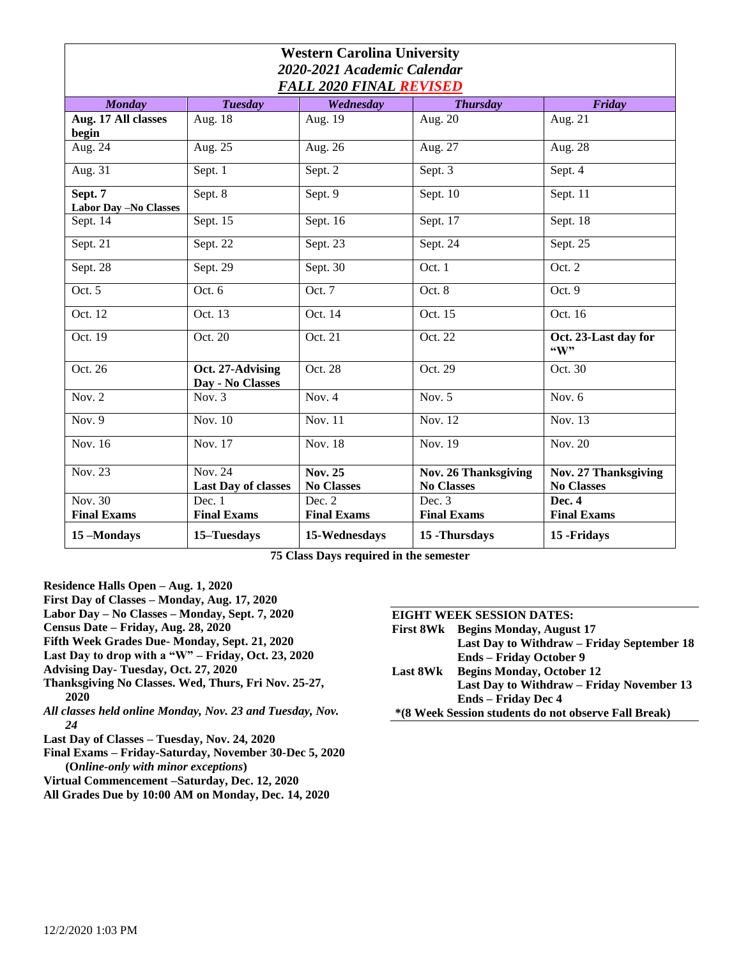| <b>Western Carolina University</b><br>2020-2021 Academic Calendar<br><b>FALL 2020 FINAL REVISED</b> |                                              |                                     |                                           |                                           |
|-----------------------------------------------------------------------------------------------------|----------------------------------------------|-------------------------------------|-------------------------------------------|-------------------------------------------|
| <b>Monday</b>                                                                                       | <b>Tuesday</b>                               | Wednesday                           | <b>Thursday</b>                           | Friday                                    |
| Aug. 17 All classes<br>begin                                                                        | Aug. 18                                      | Aug. 19                             | Aug. $20$                                 | Aug. $2\overline{1}$                      |
| Aug. 24                                                                                             | Aug. $25$                                    | Aug. 26                             | Aug. 27                                   | Aug. 28                                   |
| Aug. 31                                                                                             | Sept. 1                                      | Sept. 2                             | Sept. 3                                   | Sept. 4                                   |
| Sept. 7<br>Labor Day - No Classes                                                                   | Sept. 8                                      | Sept. 9                             | Sept. 10                                  | Sept. 11                                  |
| Sept. 14                                                                                            | Sept. 15                                     | Sept. 16                            | Sept. 17                                  | Sept. 18                                  |
| Sept. 21                                                                                            | Sept. 22                                     | Sept. 23                            | Sept. 24                                  | Sept. 25                                  |
| Sept. 28                                                                                            | Sept. 29                                     | Sept. 30                            | Oct. 1                                    | Oct. 2                                    |
| Oct. $5$                                                                                            | Oct. 6                                       | Oct. 7                              | Oct. 8                                    | Oct. 9                                    |
| Oct. 12                                                                                             | Oct. 13                                      | Oct. 14                             | Oct. 15                                   | Oct. 16                                   |
| Oct. 19                                                                                             | Oct. 20                                      | Oct. 21                             | Oct. 22                                   | Oct. 23-Last day for<br>``W"              |
| Oct. 26                                                                                             | Oct. 27-Advising<br>Day - No Classes         | Oct. 28                             | Oct. 29                                   | Oct. 30                                   |
| Nov. $2$                                                                                            | Nov. 3                                       | Nov. $4$                            | Nov. $5$                                  | Nov. $6$                                  |
| Nov. $9$                                                                                            | Nov. $10$                                    | Nov. 11                             | Nov. 12                                   | Nov. 13                                   |
| Nov. 16                                                                                             | Nov. 17                                      | Nov. 18                             | Nov. 19                                   | Nov. $20$                                 |
| <b>Nov. 23</b>                                                                                      | <b>Nov. 24</b><br><b>Last Day of classes</b> | <b>Nov. 25</b><br><b>No Classes</b> | Nov. 26 Thanksgiving<br><b>No Classes</b> | Nov. 27 Thanksgiving<br><b>No Classes</b> |
| <b>Nov. 30</b><br><b>Final Exams</b>                                                                | Dec. 1<br><b>Final Exams</b>                 | Dec. $2$<br><b>Final Exams</b>      | Dec. $3$<br><b>Final Exams</b>            | Dec. 4<br><b>Final Exams</b>              |
| 15-Mondays                                                                                          | 15-Tuesdays                                  | 15-Wednesdays                       | 15 - Thursdays                            | 15 - Fridays                              |

**75 Class Days required in the semester**

**Residence Halls Open – Aug. 1, 2020**

**First Day of Classes – Monday, Aug. 17, 2020**

**Labor Day – No Classes – Monday, Sept. 7, 2020**

- **Census Date – Friday, Aug. 28, 2020**
- **Fifth Week Grades Due- Monday, Sept. 21, 2020**
- **Last Day to drop with a "W" – Friday, Oct. 23, 2020**
- **Advising Day- Tuesday, Oct. 27, 2020**
- **Thanksgiving No Classes. Wed, Thurs, Fri Nov. 25-27, 2020**
- *All classes held online Monday, Nov. 23 and Tuesday, Nov. 24*
- **Last Day of Classes – Tuesday, Nov. 24, 2020**
- **Final Exams – Friday-Saturday, November 30-Dec 5, 2020 (O***nline-only with minor exceptions***)**
- **Virtual Commencement –Saturday, Dec. 12, 2020**

**All Grades Due by 10:00 AM on Monday, Dec. 14, 2020**

## **EIGHT WEEK SESSION DATES:**

**First 8Wk Begins Monday, August 17 Last Day to Withdraw – Friday September 18 Ends – Friday October 9**

- **Last 8Wk Begins Monday, October 12 Last Day to Withdraw – Friday November 13 Ends – Friday Dec 4**
- **\*(8 Week Session students do not observe Fall Break)**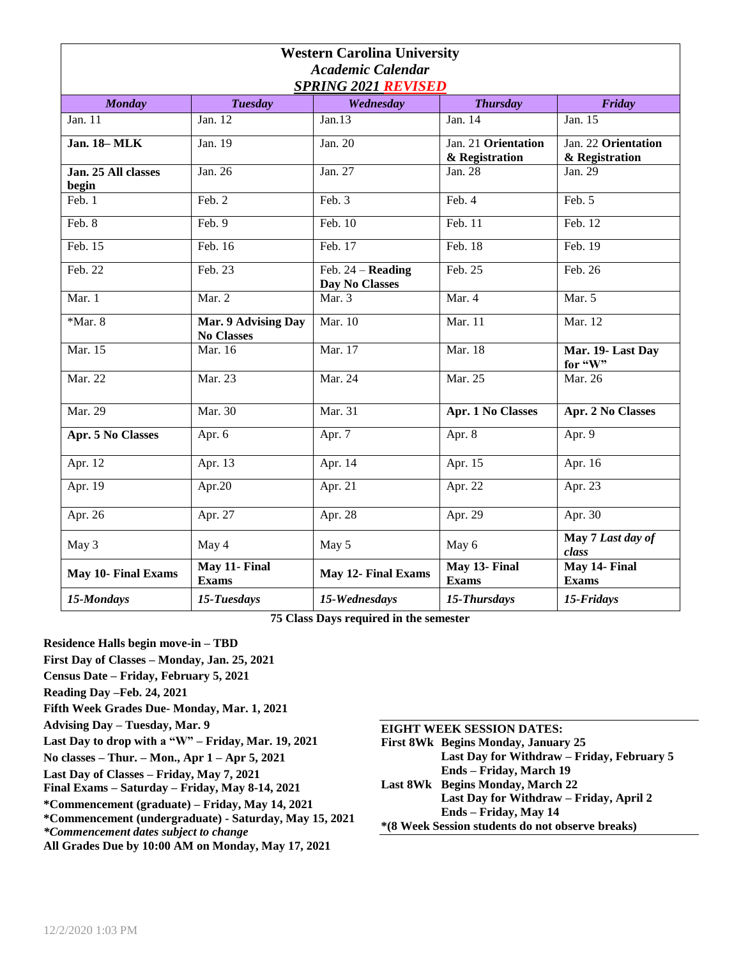| <b>Western Carolina University</b><br><b>Academic Calendar</b> |                                          |                                              |                                       |                                       |
|----------------------------------------------------------------|------------------------------------------|----------------------------------------------|---------------------------------------|---------------------------------------|
|                                                                |                                          | <b>SPRING 2021 REVISED</b>                   |                                       |                                       |
| <b>Monday</b>                                                  | <b>Tuesday</b>                           | Wednesday                                    | <b>Thursday</b>                       | Friday                                |
| Jan. 11                                                        | Jan. 12                                  | Jan.13                                       | Jan. 14                               | Jan. 15                               |
| <b>Jan. 18-MLK</b>                                             | Jan. 19                                  | Jan. 20                                      | Jan. 21 Orientation<br>& Registration | Jan. 22 Orientation<br>& Registration |
| Jan. 25 All classes<br>begin                                   | Jan. 26                                  | Jan. 27                                      | Jan. 28                               | Jan. 29                               |
| Feb. 1                                                         | Feb. 2                                   | Feb. 3                                       | Feb. 4                                | Feb. 5                                |
| Feb. 8                                                         | Feb. 9                                   | Feb. $10$                                    | Feb. 11                               | Feb. 12                               |
| Feb. 15                                                        | Feb. 16                                  | Feb. 17                                      | Feb. 18                               | Feb. 19                               |
| Feb. 22                                                        | Feb. 23                                  | Feb. $24 -$ <b>Reading</b><br>Day No Classes | Feb. 25                               | Feb. 26                               |
| Mar. 1                                                         | Mar. 2                                   | Mar. 3                                       | Mar. 4                                | Mar. 5                                |
| $*$ Mar. 8                                                     | Mar. 9 Advising Day<br><b>No Classes</b> | Mar. 10                                      | Mar. 11                               | Mar. 12                               |
| Mar. 15                                                        | Mar. 16                                  | Mar. 17                                      | Mar. 18                               | Mar. 19- Last Day<br>for "W"          |
| Mar. 22                                                        | Mar. 23                                  | Mar. 24                                      | Mar. 25                               | Mar. 26                               |
| Mar. 29                                                        | Mar. 30                                  | Mar. 31                                      | <b>Apr. 1 No Classes</b>              | <b>Apr. 2 No Classes</b>              |
| <b>Apr. 5 No Classes</b>                                       | Apr. 6                                   | Apr. 7                                       | Apr. 8                                | Apr. 9                                |
| Apr. 12                                                        | Apr. $1\overline{3}$                     | Apr. 14                                      | Apr. 15                               | Apr. 16                               |
| Apr. 19                                                        | Apr.20                                   | Apr. 21                                      | Apr. 22                               | Apr. 23                               |
| Apr. 26                                                        | Apr. 27                                  | Apr. 28                                      | Apr. 29                               | Apr. 30                               |
| May 3                                                          | May 4                                    | May 5                                        | May 6                                 | May 7 Last day of<br>class            |
| <b>May 10- Final Exams</b>                                     | May 11- Final<br><b>Exams</b>            | <b>May 12- Final Exams</b>                   | May 13- Final<br><b>Exams</b>         | May 14- Final<br><b>Exams</b>         |
| 15-Mondays                                                     | 15-Tuesdays                              | 15-Wednesdays                                | 15-Thursdays                          | 15-Fridays                            |

**75 Class Days required in the semester**

**Residence Halls begin move-in – TBD First Day of Classes – Monday, Jan. 25, 2021 Census Date – Friday, February 5, 2021 Reading Day –Feb. 24, 2021 Fifth Week Grades Due- Monday, Mar. 1, 2021 Advising Day – Tuesday, Mar. 9 Last Day to drop with a "W" – Friday, Mar. 19, 2021 No classes – Thur. – Mon., Apr 1 – Apr 5, 2021 Last Day of Classes – Friday, May 7, 2021 Final Exams – Saturday – Friday, May 8-14, 2021 \*Commencement (graduate) – Friday, May 14, 2021 \*Commencement (undergraduate) - Saturday, May 15, 2021** *\*Commencement dates subject to change*

**All Grades Due by 10:00 AM on Monday, May 17, 2021**

| <b>EIGHT WEEK SESSION DATES:</b>                 |                                            |  |
|--------------------------------------------------|--------------------------------------------|--|
|                                                  | <b>First 8Wk</b> Begins Monday, January 25 |  |
|                                                  | Last Day for Withdraw - Friday, February 5 |  |
|                                                  | Ends - Friday, March 19                    |  |
|                                                  | Last 8Wk Begins Monday, March 22           |  |
|                                                  | Last Day for Withdraw – Friday, April 2    |  |
|                                                  | Ends – Friday, May 14                      |  |
| *(8 Week Session students do not observe breaks) |                                            |  |